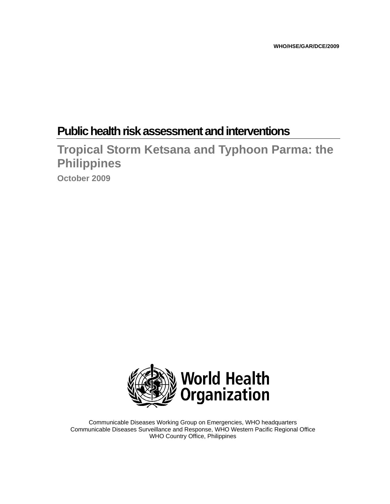# **Public health risk assessment and interventions**

**Tropical Storm Ketsana and Typhoon Parma: the Philippines** 

**October 2009** 



Communicable Diseases Working Group on Emergencies, WHO headquarters Communicable Diseases Surveillance and Response, WHO Western Pacific Regional Office WHO Country Office, Philippines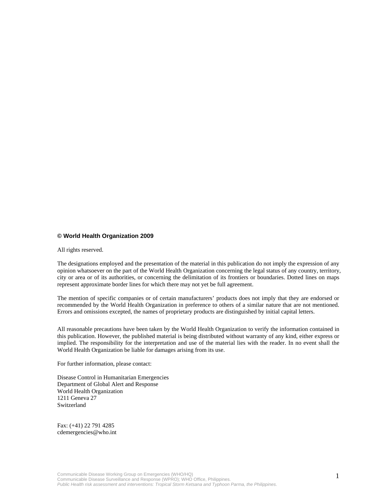#### **© World Health Organization 2009**

All rights reserved.

The designations employed and the presentation of the material in this publication do not imply the expression of any opinion whatsoever on the part of the World Health Organization concerning the legal status of any country, territory, city or area or of its authorities, or concerning the delimitation of its frontiers or boundaries. Dotted lines on maps represent approximate border lines for which there may not yet be full agreement.

The mention of specific companies or of certain manufacturers' products does not imply that they are endorsed or recommended by the World Health Organization in preference to others of a similar nature that are not mentioned. Errors and omissions excepted, the names of proprietary products are distinguished by initial capital letters.

All reasonable precautions have been taken by the World Health Organization to verify the information contained in this publication. However, the published material is being distributed without warranty of any kind, either express or implied. The responsibility for the interpretation and use of the material lies with the reader. In no event shall the World Health Organization be liable for damages arising from its use.

For further information, please contact:

Disease Control in Humanitarian Emergencies Department of Global Alert and Response World Health Organization 1211 Geneva 27 Switzerland

Fax: (+41) 22 791 4285 cdemergencies@who.int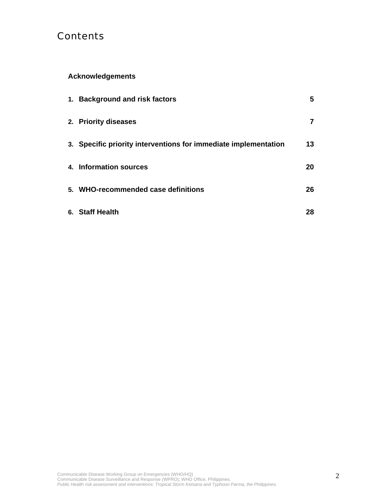# **Contents**

# **Acknowledgements**

| 1. Background and risk factors                                  | 5  |
|-----------------------------------------------------------------|----|
| 2. Priority diseases                                            | 7  |
| 3. Specific priority interventions for immediate implementation | 13 |
| 4. Information sources                                          | 20 |
| 5. WHO-recommended case definitions                             | 26 |
| 6. Staff Health                                                 | 28 |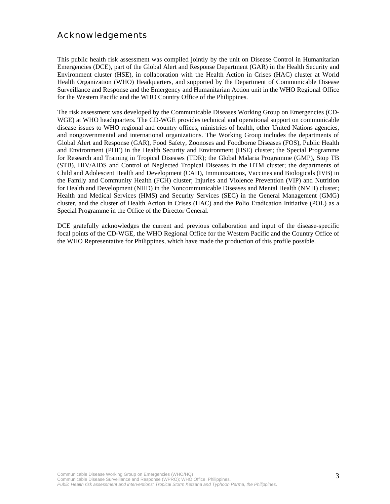# Acknowledgements

This public health risk assessment was compiled jointly by the unit on Disease Control in Humanitarian Emergencies (DCE), part of the Global Alert and Response Department (GAR) in the Health Security and Environment cluster (HSE), in collaboration with the Health Action in Crises (HAC) cluster at World Health Organization (WHO) Headquarters, and supported by the Department of Communicable Disease Surveillance and Response and the Emergency and Humanitarian Action unit in the WHO Regional Office for the Western Pacific and the WHO Country Office of the Philippines.

The risk assessment was developed by the Communicable Diseases Working Group on Emergencies (CD-WGE) at WHO headquarters. The CD-WGE provides technical and operational support on communicable disease issues to WHO regional and country offices, ministries of health, other United Nations agencies, and nongovernmental and international organizations. The Working Group includes the departments of Global Alert and Response (GAR), Food Safety, Zoonoses and Foodborne Diseases (FOS), Public Health and Environment (PHE) in the Health Security and Environment (HSE) cluster; the Special Programme for Research and Training in Tropical Diseases (TDR); the Global Malaria Programme (GMP), Stop TB (STB), HIV/AIDS and Control of Neglected Tropical Diseases in the HTM cluster; the departments of Child and Adolescent Health and Development (CAH), Immunizations, Vaccines and Biologicals (IVB) in the Family and Community Health (FCH) cluster; Injuries and Violence Prevention (VIP) and Nutrition for Health and Development (NHD) in the Noncommunicable Diseases and Mental Health (NMH) cluster; Health and Medical Services (HMS) and Security Services (SEC) in the General Management (GMG) cluster, and the cluster of Health Action in Crises (HAC) and the Polio Eradication Initiative (POL) as a Special Programme in the Office of the Director General.

DCE gratefully acknowledges the current and previous collaboration and input of the disease-specific focal points of the CD-WGE, the WHO Regional Office for the Western Pacific and the Country Office of the WHO Representative for Philippines, which have made the production of this profile possible.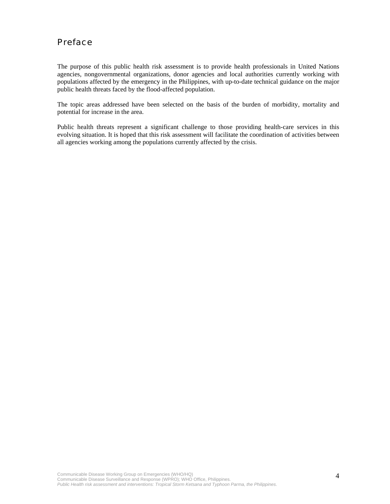# Preface

The purpose of this public health risk assessment is to provide health professionals in United Nations agencies, nongovernmental organizations, donor agencies and local authorities currently working with populations affected by the emergency in the Philippines, with up-to-date technical guidance on the major public health threats faced by the flood-affected population.

The topic areas addressed have been selected on the basis of the burden of morbidity, mortality and potential for increase in the area.

Public health threats represent a significant challenge to those providing health-care services in this evolving situation. It is hoped that this risk assessment will facilitate the coordination of activities between all agencies working among the populations currently affected by the crisis.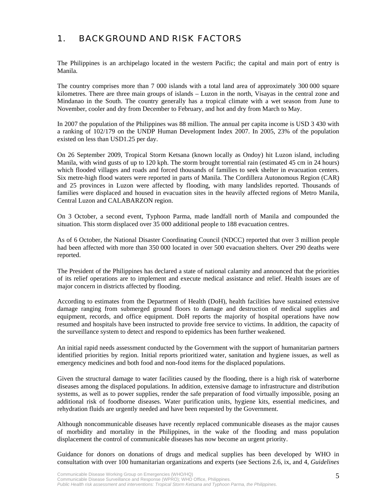# 1. BACKGROUND AND RISK FACTORS

The Philippines is an archipelago located in the western Pacific; the capital and main port of entry is Manila.

The country comprises more than 7 000 islands with a total land area of approximately 300 000 square kilometres. There are three main groups of islands – Luzon in the north, Visayas in the central zone and Mindanao in the South. The country generally has a tropical climate with a wet season from June to November, cooler and dry from December to February, and hot and dry from March to May.

In 2007 the population of the Philippines was 88 million. The annual per capita income is USD 3 430 with a ranking of 102/179 on the UNDP Human Development Index 2007. In 2005, 23% of the population existed on less than USD1.25 per day.

On 26 September 2009, Tropical Storm Ketsana (known locally as Ondoy) hit Luzon island, including Manila, with wind gusts of up to 120 kph. The storm brought torrential rain (estimated 45 cm in 24 hours) which flooded villages and roads and forced thousands of families to seek shelter in evacuation centers. Six metre-high flood waters were reported in parts of Manila. The Cordillera Autonomous Region (CAR) and 25 provinces in Luzon were affected by flooding, with many landslides reported. Thousands of families were displaced and housed in evacuation sites in the heavily affected regions of Metro Manila, Central Luzon and CALABARZON region.

On 3 October, a second event, Typhoon Parma, made landfall north of Manila and compounded the situation. This storm displaced over 35 000 additional people to 188 evacuation centres.

As of 6 October, the National Disaster Coordinating Council (NDCC) reported that over 3 million people had been affected with more than 350 000 located in over 500 evacuation shelters. Over 290 deaths were reported.

The President of the Philippines has declared a state of national calamity and announced that the priorities of its relief operations are to implement and execute medical assistance and relief. Health issues are of major concern in districts affected by flooding.

According to estimates from the Department of Health (DoH), health facilities have sustained extensive damage ranging from submerged ground floors to damage and destruction of medical supplies and equipment, records, and office equipment. DoH reports the majority of hospital operations have now resumed and hospitals have been instructed to provide free service to victims. In addition, the capacity of the surveillance system to detect and respond to epidemics has been further weakened.

An initial rapid needs assessment conducted by the Government with the support of humanitarian partners identified priorities by region. Initial reports prioritized water, sanitation and hygiene issues, as well as emergency medicines and both food and non-food items for the displaced populations.

Given the structural damage to water facilities caused by the flooding, there is a high risk of waterborne diseases among the displaced populations. In addition, extensive damage to infrastructure and distribution systems, as well as to power supplies, render the safe preparation of food virtually impossible, posing an additional risk of foodborne diseases. Water purification units, hygiene kits, essential medicines, and rehydration fluids are urgently needed and have been requested by the Government.

Although noncommunicable diseases have recently replaced communicable diseases as the major causes of morbidity and mortality in the Philippines, in the wake of the flooding and mass population displacement the control of communicable diseases has now become an urgent priority.

Guidance for donors on donations of drugs and medical supplies has been developed by WHO in consultation with over 100 humanitarian organizations and experts (see Sections 2.6, ix, and 4, *Guidelines*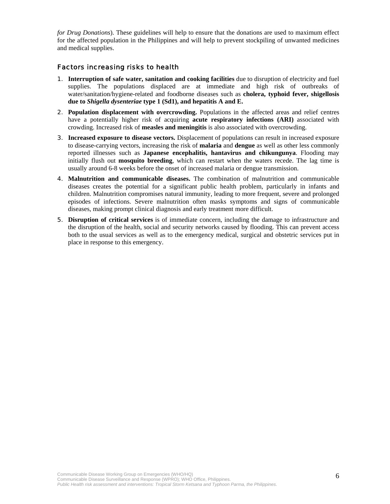*for Drug Donations*). These guidelines will help to ensure that the donations are used to maximum effect for the affected population in the Philippines and will help to prevent stockpiling of unwanted medicines and medical supplies.

#### Factors increasing risks to health

- 1. **Interruption of safe water, sanitation and cooking facilities** due to disruption of electricity and fuel supplies. The populations displaced are at immediate and high risk of outbreaks of water/sanitation/hygiene-related and foodborne diseases such as **cholera, typhoid fever, shigellosis due to** *Shigella dysenteriae* **type 1 (Sd1), and hepatitis A and E.**
- 2. **Population displacement with overcrowding.** Populations in the affected areas and relief centres have a potentially higher risk of acquiring **acute respiratory infections (ARI)** associated with crowding. Increased risk of **measles and meningitis** is also associated with overcrowding.
- 3. **Increased exposure to disease vectors.** Displacement of populations can result in increased exposure to disease-carrying vectors, increasing the risk of **malaria** and **dengue** as well as other less commonly reported illnesses such as **Japanese encephalitis, hantavirus and chikungunya**. Flooding may initially flush out **mosquito breeding**, which can restart when the waters recede. The lag time is usually around 6-8 weeks before the onset of increased malaria or dengue transmission.
- 4. **Malnutrition and communicable diseases.** The combination of malnutrition and communicable diseases creates the potential for a significant public health problem, particularly in infants and children. Malnutrition compromises natural immunity, leading to more frequent, severe and prolonged episodes of infections. Severe malnutrition often masks symptoms and signs of communicable diseases, making prompt clinical diagnosis and early treatment more difficult.
- 5. **Disruption of critical services** is of immediate concern, including the damage to infrastructure and the disruption of the health, social and security networks caused by flooding. This can prevent access both to the usual services as well as to the emergency medical, surgical and obstetric services put in place in response to this emergency.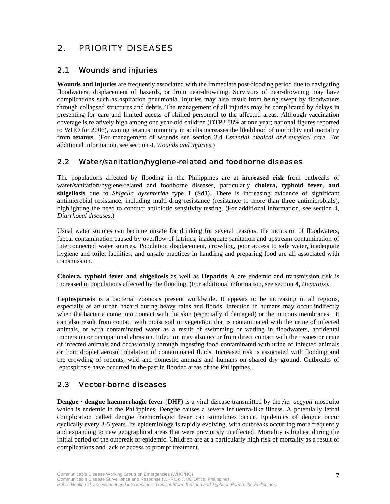# 2. PRIORITY DISEASES

### 2.1 Wounds and injuries

**Wounds and injuries** are frequently associated with the immediate post-flooding period due to navigating floodwaters, displacement of hazards, or from near-drowning. Survivors of near-drowning may have complications such as aspiration pneumonia. Injuries may also result from being swept by floodwaters through collapsed structures and debris. The management of all injuries may be complicated by delays in presenting for care and limited access of skilled personnel to the affected areas. Although vaccination coverage is relatively high among one year-old children (DTP3 88% at one year; national figures reported to WHO for 2006), waning tetanus immunity in adults increases the likelihood of morbidity and mortality from **tetanus**. (For management of wounds see section 3.4 *Essential medical and surgical care*. For additional information, see section 4, *Wounds and injuries*.)

### 2.2 Water/sanitation/hygiene-related and foodborne diseases

The populations affected by flooding in the Philippines are at **increased risk** from outbreaks of water/sanitation/hygiene-related and foodborne diseases, particularly **cholera, typhoid fever, and shigellosis** due to *Shigella dysenteriae* type 1 (**Sd1**). There is increasing evidence of significant antimicrobial resistance, including multi-drug resistance (resistance to more than three antimicrobials), highlighting the need to conduct antibiotic sensitivity testing. (For additional information, see section 4, *Diarrhoeal diseases*.)

Usual water sources can become unsafe for drinking for several reasons: the incursion of floodwaters, faecal contamination caused by overflow of latrines, inadequate sanitation and upstream contamination of interconnected water sources. Population displacement, crowding, poor access to safe water, inadequate hygiene and toilet facilities, and unsafe practices in handling and preparing food are all associated with transmission.

**Cholera, typhoid fever and shigellosis** as well as **Hepatitis A** are endemic and transmission risk is increased in populations affected by the flooding. (For additional information, see section 4, *Hepatitis*).

**Leptospirosis** is a bacterial zoonosis present worldwide. It appears to be increasing in all regions, especially as an urban hazard during heavy rains and floods. Infection in humans may occur indirectly when the bacteria come into contact with the skin (especially if damaged) or the mucous membranes. It can also result from contact with moist soil or vegetation that is contaminated with the urine of infected animals, or with contaminated water as a result of swimming or wading in floodwaters, accidental immersion or occupational abrasion. Infection may also occur from direct contact with the tissues or urine of infected animals and occasionally through ingesting food contaminated with urine of infected animals or from droplet aerosol inhalation of contaminated fluids. Increased risk is associated with flooding and the crowding of rodents, wild and domestic animals and humans on shared dry ground. Outbreaks of leptospirosis have occurred in the past in flooded areas of the Philippines.

### 2.3 Vector-borne diseases

**Dengue** / **dengue haemorrhagic fever** (DHF) is a viral disease transmitted by the *Ae. aegypti* mosquito which is endemic in the Philippines. Dengue causes a severe influenza-like illness. A potentially lethal complication called dengue haemorrhagic fever can sometimes occur. Epidemics of dengue occur cyclically every 3-5 years. Its epidemiology is rapidly evolving, with outbreaks occurring more frequently and expanding to new geographical areas that were previously unaffected. Mortality is highest during the initial period of the outbreak or epidemic. Children are at a particularly high risk of mortality as a result of complications and lack of access to prompt treatment.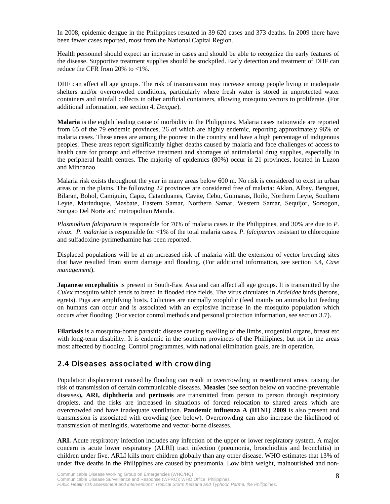In 2008, epidemic dengue in the Philippines resulted in 39 620 cases and 373 deaths. In 2009 there have been fewer cases reported, most from the National Capital Region.

Health personnel should expect an increase in cases and should be able to recognize the early features of the disease. Supportive treatment supplies should be stockpiled. Early detection and treatment of DHF can reduce the CFR from 20% to <1%.

DHF can affect all age groups. The risk of transmission may increase among people living in inadequate shelters and/or overcrowded conditions, particularly where fresh water is stored in unprotected water containers and rainfall collects in other artificial containers, allowing mosquito vectors to proliferate. (For additional information, see section 4, *Dengue*).

**Malaria** is the eighth leading cause of morbidity in the Philippines. Malaria cases nationwide are reported from 65 of the 79 endemic provinces, 26 of which are highly endemic, reporting approximately 96% of malaria cases. These areas are among the poorest in the country and have a high percentage of indigenous peoples. These areas report significantly higher deaths caused by malaria and face challenges of access to health care for prompt and effective treatment and shortages of antimalarial drug supplies, especially in the peripheral health centres. The majority of epidemics (80%) occur in 21 provinces, located in Luzon and Mindanao.

Malaria risk exists throughout the year in many areas below 600 m. No risk is considered to exist in urban areas or in the plains. The following 22 provinces are considered free of malaria: Aklan, Albay, Benguet, Bilaran, Bohol, Camiguin, Capiz, Catanduanes, Cavite, Cebu, Guimaras, Iloilo, Northern Leyte, Southern Leyte, Marinduque, Masbate, Eastern Samar, Northern Samar, Western Samar, Sequijor, Sorsogon, Surigao Del Norte and metropolitan Manila.

*Plasmodium falciparum* is responsible for 70% of malaria cases in the Philippines, and 30% are due to *P. vivax*. *P. malariae* is responsible for <1% of the total malaria cases. *P. falciparum* resistant to chloroquine and sulfadoxine-pyrimethamine has been reported.

Displaced populations will be at an increased risk of malaria with the extension of vector breeding sites that have resulted from storm damage and flooding. (For additional information, see section 3.4, *Case management*).

**Japanese encephalitis** is present in South-East Asia and can affect all age groups. It is transmitted by the *Culex* mosquito which tends to breed in flooded rice fields. The virus circulates in *Ardeidae* birds (herons, egrets). Pigs are amplifying hosts. Culicines are normally zoophilic (feed mainly on animals) but feeding on humans can occur and is associated with an explosive increase in the mosquito population which occurs after flooding. (For vector control methods and personal protection information, see section 3.7).

**Filariasis** is a mosquito-borne parasitic disease causing swelling of the limbs, urogenital organs, breast etc. with long-term disability. It is endemic in the southern provinces of the Phillipines, but not in the areas most affected by flooding. Control programmes, with national elimination goals, are in operation.

### 2.4 Diseases associated with crowding

Population displacement caused by flooding can result in overcrowding in resettlement areas, raising the risk of transmission of certain communicable diseases. **Measles** (see section below on vaccine-preventable diseases)**, ARI, diphtheria** and **pertussis** are transmitted from person to person through respiratory droplets, and the risks are increased in situations of forced relocation to shared areas which are overcrowded and have inadequate ventilation. **Pandemic influenza A (H1N1) 2009** is also present and transmission is associated with crowding (see below). Overcrowding can also increase the likelihood of transmission of meningitis, waterborne and vector-borne diseases.

**ARI.** Acute respiratory infection includes any infection of the upper or lower respiratory system. A major concern is acute lower respiratory (ALRI) tract infection (pneumonia, bronchiolitis and bronchitis) in children under five. ARLI kills more children globally than any other disease. WHO estimates that 13% of under five deaths in the Philippines are caused by pneumonia. Low birth weight, malnourished and non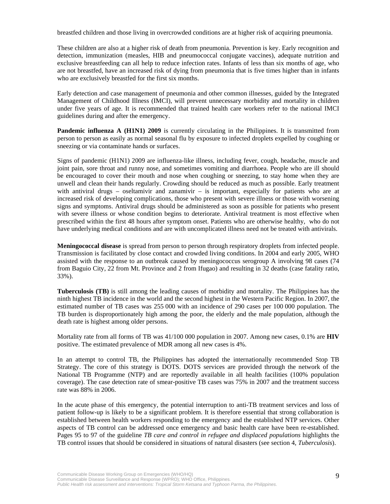breastfed children and those living in overcrowded conditions are at higher risk of acquiring pneumonia.

These children are also at a higher risk of death from pneumonia. Prevention is key. Early recognition and detection, immunization (measles, HIB and pneumococcal conjugate vaccines), adequate nutrition and exclusive breastfeeding can all help to reduce infection rates. Infants of less than six months of age, who are not breastfed, have an increased risk of dying from pneumonia that is five times higher than in infants who are exclusively breastfed for the first six months.

Early detection and case management of pneumonia and other common illnesses, guided by the Integrated Management of Childhood Illness (IMCI), will prevent unnecessary morbidity and mortality in children under five years of age. It is recommended that trained health care workers refer to the national IMCI guidelines during and after the emergency.

**Pandemic influenza A (H1N1) 2009** is currently circulating in the Philippines. It is transmitted from person to person as easily as normal seasonal flu by exposure to infected droplets expelled by coughing or sneezing or via contaminate hands or surfaces.

Signs of pandemic (H1N1) 2009 are influenza-like illness, including fever, cough, headache, muscle and joint pain, sore throat and runny nose, and sometimes vomiting and diarrhoea. People who are ill should be encouraged to cover their mouth and nose when coughing or sneezing, to stay home when they are unwell and clean their hands regularly. Crowding should be reduced as much as possible. Early treatment with antiviral drugs – oseltamivir and zanamivir – is important, especially for patients who are at increased risk of developing complications, those who present with severe illness or those with worsening signs and symptoms. Antiviral drugs should be administered as soon as possible for patients who present with severe illness or whose condition begins to deteriorate. Antiviral treatment is most effective when prescribed within the first 48 hours after symptom onset. Patients who are otherwise healthy, who do not have underlying medical conditions and are with uncomplicated illness need not be treated with antivirals.

**Meningococcal disease** is spread from person to person through respiratory droplets from infected people. Transmission is facilitated by close contact and crowded living conditions. In 2004 and early 2005, WHO assisted with the response to an outbreak caused by meningococcus serogroup A involving 98 cases (74 from Baguio City, 22 from Mt. Province and 2 from Ifugao) and resulting in 32 deaths (case fatality ratio, 33%).

**Tuberculosis (TB)** is still among the leading causes of morbidity and mortality. The Philippines has the ninth highest TB incidence in the world and the second highest in the Western Pacific Region. In 2007, the estimated number of TB cases was 255 000 with an incidence of 290 cases per 100 000 population. The TB burden is disproportionately high among the poor, the elderly and the male population, although the death rate is highest among older persons.

Mortality rate from all forms of TB was 41/100 000 population in 2007. Among new cases, 0.1% are **HIV** positive. The estimated prevalence of MDR among all new cases is 4%.

In an attempt to control TB, the Philippines has adopted the internationally recommended Stop TB Strategy. The core of this strategy is DOTS. DOTS services are provided through the network of the National TB Programme (NTP) and are reportedly available in all health facilities (100% population coverage). The case detection rate of smear-positive TB cases was 75% in 2007 and the treatment success rate was 88% in 2006.

In the acute phase of this emergency, the potential interruption to anti-TB treatment services and loss of patient follow-up is likely to be a significant problem. It is therefore essential that strong collaboration is established between health workers responding to the emergency and the established NTP services. Other aspects of TB control can be addressed once emergency and basic health care have been re-established. Pages 95 to 97 of the guideline *TB care and control in refugee and displaced populations* highlights the TB control issues that should be considered in situations of natural disasters (see section 4, *Tuberculosis*).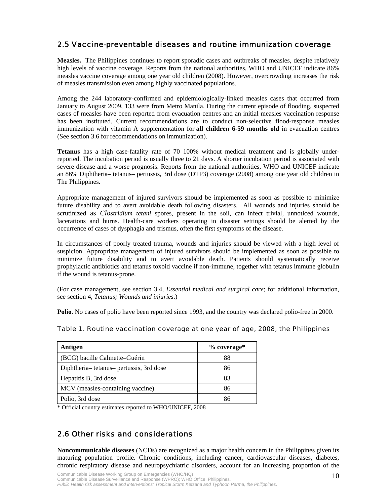### 2.5 Vaccine-preventable diseases and routine immunization coverage

**Measles.** The Philippines continues to report sporadic cases and outbreaks of measles, despite relatively high levels of vaccine coverage. Reports from the national authorities, WHO and UNICEF indicate 86% measles vaccine coverage among one year old children (2008). However, overcrowding increases the risk of measles transmission even among highly vaccinated populations.

Among the 244 laboratory-confirmed and epidemiologically-linked measles cases that occurred from January to August 2009, 133 were from Metro Manila. During the current episode of flooding, suspected cases of measles have been reported from evacuation centres and an initial measles vaccination response has been instituted. Current recommendations are to conduct non-selective flood-response measles immunization with vitamin A supplementation for **all children 6-59 months old** in evacuation centres (See section 3.6 for recommendations on immunization).

**Tetanus** has a high case-fatality rate of 70–100% without medical treatment and is globally underreported. The incubation period is usually three to 21 days. A shorter incubation period is associated with severe disease and a worse prognosis. Reports from the national authorities, WHO and UNICEF indicate an 86% Diphtheria– tetanus– pertussis, 3rd dose (DTP3) coverage (2008) among one year old children in The Philippines.

Appropriate management of injured survivors should be implemented as soon as possible to minimize future disability and to avert avoidable death following disasters. All wounds and injuries should be scrutinized as *Clostridium tetani* spores, present in the soil, can infect trivial, unnoticed wounds, lacerations and burns. Health-care workers operating in disaster settings should be alerted by the occurrence of cases of dysphagia and trismus, often the first symptoms of the disease.

In circumstances of poorly treated trauma, wounds and injuries should be viewed with a high level of suspicion. Appropriate management of injured survivors should be implemented as soon as possible to minimize future disability and to avert avoidable death. Patients should systematically receive prophylactic antibiotics and tetanus toxoid vaccine if non-immune, together with tetanus immune globulin if the wound is tetanus-prone.

(For case management, see section 3.4, *Essential medical and surgical care*; for additional information, see section 4, *Tetanus; Wounds and injuries*.)

**Polio**. No cases of polio have been reported since 1993, and the country was declared polio-free in 2000.

|  |  |  | Table 1. Routine vaccination coverage at one year of age, 2008, the Philippines |
|--|--|--|---------------------------------------------------------------------------------|
|  |  |  |                                                                                 |

| Antigen                                | $%$ coverage* |
|----------------------------------------|---------------|
| (BCG) bacille Calmette–Guérin          | 88            |
| Diphtheria-tetanus-pertussis, 3rd dose | 86            |
| Hepatitis B, 3rd dose                  | 83            |
| MCV (measles-containing vaccine)       | 86            |
| Polio, 3rd dose                        | 86            |

\* Official country estimates reported to WHO/UNICEF, 2008

### 2.6 Other risks and considerations

**Noncommunicable diseases** (NCDs) are recognized as a major health concern in the Philippines given its maturing population profile. Chronic conditions, including cancer, cardiovascular diseases, diabetes, chronic respiratory disease and neuropsychiatric disorders, account for an increasing proportion of the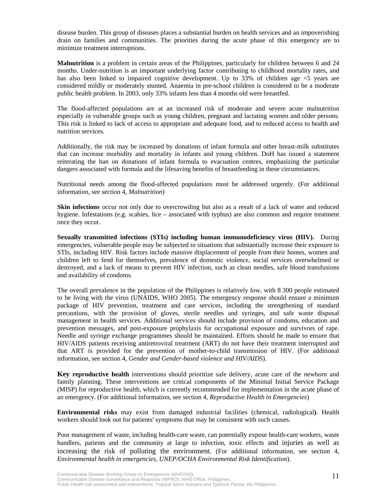disease burden. This group of diseases places a substantial burden on health services and an impoverishing drain on families and communities. The priorities during the acute phase of this emergency are to minimize treatment interruptions.

**Malnutrition** is a problem in certain areas of the Philippines, particularly for children between 6 and 24 months. Under-nutrition is an important underlying factor contributing to childhood mortality rates, and has also been linked to impaired cognitive development. Up to 33% of children age  $\leq$ 5 years are considered mildly or moderately stunted. Anaemia in pre-school children is considered to be a moderate public health problem. In 2003, only 33% infants less than 4 months old were breastfed.

The flood-affected populations are at an increased risk of moderate and severe acute malnutrition especially in vulnerable groups such as young children, pregnant and lactating women and older persons. This risk is linked to lack of access to appropriate and adequate food, and to reduced access to health and nutrition services.

Additionally, the risk may be increased by donations of infant formula and other breast-milk substitutes that can increase morbidity and mortality in infants and young children. DoH has issued a statement reiterating the ban on donations of infant formula to evacuation centres, emphasizing the particular dangers associated with formula and the lifesaving benefits of breastfeeding in these circumstances.

Nutritional needs among the flood-affected populations must be addressed urgently. (For additional information, see section 4, *Malnutrition*)

**Skin infections** occur not only due to overcrowding but also as a result of a lack of water and reduced hygiene. Infestations (e.g. scabies, lice – associated with typhus) are also common and require treatment once they occur.

**Sexually transmitted infections (STIs) including human immunodeficiency virus (HIV).** During emergencies, vulnerable people may be subjected to situations that substantially increase their exposure to STIs, including HIV. Risk factors include massive displacement of people from their homes, women and children left to fend for themselves, prevalence of domestic violence, social services overwhelmed or destroyed, and a lack of means to prevent HIV infection, such as clean needles, safe blood transfusions and availability of condoms.

The overall prevalence in the population of the Philippines is relatively low, with 8 300 people estimated to be living with the virus (UNAIDS, WHO 2005). The emergency response should ensure a minimum package of HIV prevention, treatment and care services, including the strengthening of standard precautions, with the provision of gloves, sterile needles and syringes, and safe waste disposal management in health services. Additional services should include provision of condoms, education and prevention messages, and post-exposure prophylaxis for occupational exposure and survivors of rape. Needle and syringe exchange programmes should be maintained. Efforts should be made to ensure that HIV/AIDS patients receiving antiretroviral treatment (ART) do not have their treatment interrupted and that ART is provided for the prevention of mother-to-child transmission of HIV. (For additional information, see section 4, *Gender and Gender-based violence and HIV/AIDS*).

**Key reproductive health** interventions should prioritize safe delivery, acute care of the newborn and family planning. These interventions are critical components of the Minimal Initial Service Package (MISP) for reproductive health, which is currently recommended for implementation in the acute phase of an emergency. (For additional information, see section 4, *Reproductive Health in Emergencies*)

**Environmental risks** may exist from damaged industrial facilities (chemical, radiological**)**. Health workers should look out for patients' symptoms that may be consistent with such causes.

Poor management of waste, including health-care waste, can potentially expose health-care workers, waste handlers, patients and the community at large to infection, toxic effects and injuries as well as increasing the risk of polluting the environment. (For additional information, see section 4, *Environmental health in emergencies, UNEP/OCHA Environmental Risk Identification*).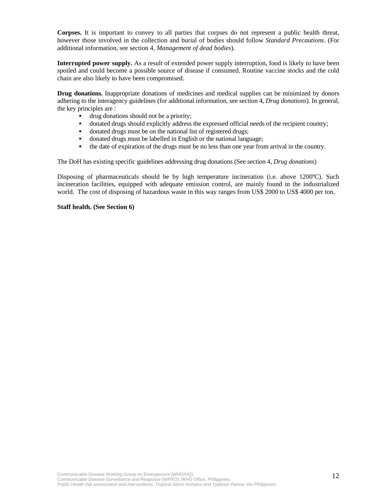**Corpses.** It is important to convey to all parties that corpses do not represent a public health threat, however those involved in the collection and burial of bodies should follow *Standard Precautions*. (For additional information, see section 4, *Management of dead bodies*).

**Interrupted power supply.** As a result of extended power supply interruption, food is likely to have been spoiled and could become a possible source of disease if consumed. Routine vaccine stocks and the cold chain are also likely to have been compromised.

**Drug donations.** Inappropriate donations of medicines and medical supplies can be minimized by donors adhering to the interagency guidelines (for additional information, see section 4, *Drug donations*). In general, the key principles are :

- drug donations should not be a priority;
- donated drugs should explicitly address the expressed official needs of the recipient country;
- donated drugs must be on the national list of registered drugs;
- donated drugs must be labelled in English or the national language;
- the date of expiration of the drugs must be no less than one year from arrival in the country.

The DoH has existing specific guidelines addressing drug donations (See section 4, *Drug donations*)

Disposing of pharmaceuticals should be by high temperature incineration (i.e. above 1200ºC). Such incineration facilities, equipped with adequate emission control, are mainly found in the industrialized world. The cost of disposing of hazardous waste in this way ranges from US\$ 2000 to US\$ 4000 per ton.

#### **Staff health. (See Section 6)**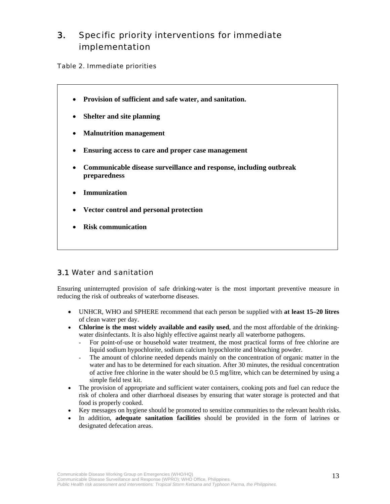# 3. Specific priority interventions for immediate implementation

#### Table 2. Immediate priorities

- **Provision of sufficient and safe water, and sanitation.**
- **Shelter and site planning**
- **Malnutrition management**
- **Ensuring access to care and proper case management**
- **Communicable disease surveillance and response, including outbreak preparedness**
- **Immunization**

 $\overline{\phantom{a}}$  $\overline{\phantom{a}}$  $\overline{\phantom{a}}$  $\overline{\phantom{a}}$  $\overline{\phantom{a}}$  $\overline{\phantom{a}}$  $\overline{\phantom{a}}$  $\overline{\phantom{a}}$  $\overline{\phantom{a}}$  $\overline{\phantom{a}}$  $\overline{\phantom{a}}$  $\overline{\phantom{a}}$ ٦

- **Vector control and personal protection**
- **Risk communication**

### 3.1 Water and sanitation

Ensuring uninterrupted provision of safe drinking-water is the most important preventive measure in reducing the risk of outbreaks of waterborne diseases.

- UNHCR, WHO and SPHERE recommend that each person be supplied with **at least 15–20 litres** of clean water per day.
- **Chlorine is the most widely available and easily used**, and the most affordable of the drinkingwater disinfectants. It is also highly effective against nearly all waterborne pathogens.
	- For point-of-use or household water treatment, the most practical forms of free chlorine are liquid sodium hypochlorite, sodium calcium hypochlorite and bleaching powder.
	- The amount of chlorine needed depends mainly on the concentration of organic matter in the water and has to be determined for each situation. After 30 minutes, the residual concentration of active free chlorine in the water should be 0.5 mg/litre, which can be determined by using a simple field test kit.
- The provision of appropriate and sufficient water containers, cooking pots and fuel can reduce the risk of cholera and other diarrhoeal diseases by ensuring that water storage is protected and that food is properly cooked.
- Key messages on hygiene should be promoted to sensitize communities to the relevant health risks.
- In addition, **adequate sanitation facilities** should be provided in the form of latrines or designated defecation areas.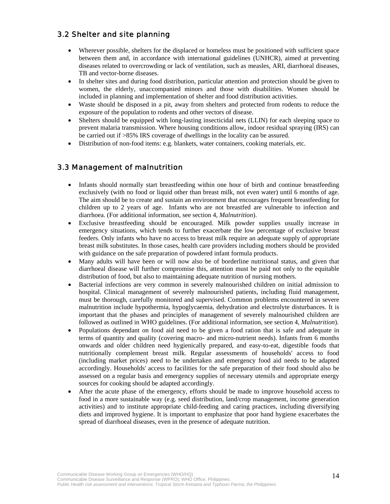### 3.2 Shelter and site planning

- Wherever possible, shelters for the displaced or homeless must be positioned with sufficient space between them and, in accordance with international guidelines (UNHCR), aimed at preventing diseases related to overcrowding or lack of ventilation, such as measles, ARI, diarrhoeal diseases, TB and vector-borne diseases.
- In shelter sites and during food distribution, particular attention and protection should be given to women, the elderly, unaccompanied minors and those with disabilities. Women should be included in planning and implementation of shelter and food distribution activities.
- Waste should be disposed in a pit, away from shelters and protected from rodents to reduce the exposure of the population to rodents and other vectors of disease.
- Shelters should be equipped with long-lasting insecticidal nets (LLIN) for each sleeping space to prevent malaria transmission. Where housing conditions allow, indoor residual spraying (IRS) can be carried out if >85% IRS coverage of dwellings in the locality can be assured.
- Distribution of non-food items: e.g. blankets, water containers, cooking materials, etc.

### 3.3 Management of malnutrition

- Infants should normally start breastfeeding within one hour of birth and continue breastfeeding exclusively (with no food or liquid other than breast milk, not even water) until 6 months of age. The aim should be to create and sustain an environment that encourages frequent breastfeeding for children up to 2 years of age. Infants who are not breastfed are vulnerable to infection and diarrhoea. (For additional information, see section 4, *Malnutrition*).
- Exclusive breastfeeding should be encouraged. Milk powder supplies usually increase in emergency situations, which tends to further exacerbate the low percentage of exclusive breast feeders. Only infants who have no access to breast milk require an adequate supply of appropriate breast milk substitutes. In those cases, health care providers including mothers should be provided with guidance on the safe preparation of powdered infant formula products.
- Many adults will have been or will now also be of borderline nutritional status, and given that diarrhoeal disease will further compromise this, attention must be paid not only to the equitable distribution of food, but also to maintaining adequate nutrition of nursing mothers.
- Bacterial infections are very common in severely malnourished children on initial admission to hospital. Clinical management of severely malnourished patients, including fluid management, must be thorough, carefully monitored and supervised. Common problems encountered in severe malnutrition include hypothermia, hypoglycaemia, dehydration and electrolyte disturbances. It is important that the phases and principles of management of severely malnourished children are followed as outlined in WHO guidelines. (For additional information, see section 4, *Malnutrition*).
- Populations dependant on food aid need to be given a food ration that is safe and adequate in terms of quantity and quality (covering macro- and micro-nutrient needs). Infants from 6 months onwards and older children need hygienically prepared, and easy-to-eat, digestible foods that nutritionally complement breast milk. Regular assessments of households' access to food (including market prices) need to be undertaken and emergency food aid needs to be adapted accordingly. Households' access to facilities for the safe preparation of their food should also be assessed on a regular basis and emergency supplies of necessary utensils and appropriate energy sources for cooking should be adapted accordingly.
- After the acute phase of the emergency, efforts should be made to improve household access to food in a more sustainable way (e.g. seed distribution, land/crop management, income generation activities) and to institute appropriate child-feeding and caring practices, including diversifying diets and improved hygiene. It is important to emphasize that poor hand hygiene exacerbates the spread of diarrhoeal diseases, even in the presence of adequate nutrition.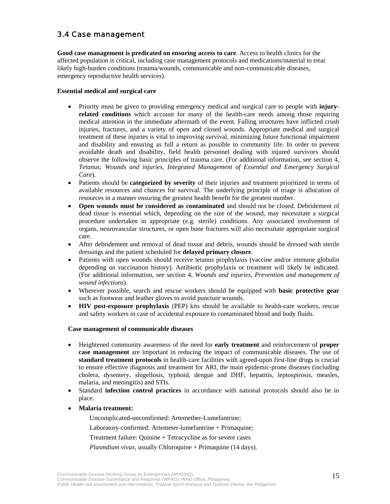### 3.4 Case management

**Good case management is predicated on ensuring access to care**. Access to health clinics for the affected population is critical, including case management protocols and medications/material to treat likely high-burden conditions (trauma/wounds, communicable and non-communicable diseases, emergency reproductive health services).

#### **Essential medical and surgical care**

- Priority must be given to providing emergency medical and surgical care to people with **injuryrelated conditions** which account for many of the health-care needs among those requiring medical attention in the immediate aftermath of the event. Falling structures have inflicted crush injuries, fractures, and a variety of open and closed wounds. Appropriate medical and surgical treatment of these injuries is vital to improving survival, minimizing future functional impairment and disability and ensuring as full a return as possible to community life. In order to prevent avoidable death and disability, field health personnel dealing with injured survivors should observe the following basic principles of trauma care. (For additional information, see section 4, *Tetanus; Wounds and injuries, Integrated Management of Essential and Emergency Surgical Care*).
- Patients should be **categorized by severity** of their injuries and treatment prioritized in terms of available resources and chances for survival. The underlying principle of triage is allocation of resources in a manner ensuring the greatest health benefit for the greatest number.
- **Open wounds must be considered as contaminated** and should not be closed. Debridement of dead tissue is essential which, depending on the size of the wound, may necessitate a surgical procedure undertaken in appropriate (e.g. sterile) conditions. Any associated involvement of organs, neurovascular structures, or open bone fractures will also necessitate appropriate surgical care.
- After debridement and removal of dead tissue and debris, wounds should be dressed with sterile dressings and the patient scheduled for **delayed primary closure**.
- Patients with open wounds should receive tetanus prophylaxis (vaccine and/or immune globulin depending on vaccination history). Antibiotic prophylaxis or treatment will likely be indicated. (For additional information, see section 4, *Wounds and injuries, Prevention and management of wound infections*).
- Wherever possible, search and rescue workers should be equipped with **basic protective gear**  such as footwear and leather gloves to avoid puncture wounds.
- **HIV post-exposure prophylaxis** (PEP) kits should be available to health-care workers, rescue and safety workers in case of accidental exposure to contaminated blood and body fluids.

#### **Case management of communicable diseases**

- Heightened community awareness of the need for **early treatment** and reinforcement of **proper case management** are important in reducing the impact of communicable diseases. The use of **standard treatment protocols** in health-care facilities with agreed-upon first-line drugs is crucial to ensure effective diagnosis and treatment for ARI, the main epidemic-prone diseases (including cholera, dysentery, shigellosis, typhoid, dengue and DHF, hepatitis, leptospirosis, measles, malaria, and meningitis) and STIs.
- Standard **infection control practices** in accordance with national protocols should also be in place.
- **Malaria treatment:**

Uncomplicated-uncomfirmed: Artemether-Lumefantrine;

Laboratory-confirmed: Artemeter-lumefantrine + Primaquine;

Treatment failure: Quinine + Tetracycline as for severe cases

*Plasmdium vivax*, usually Chloroquine + Primaquine (14 days).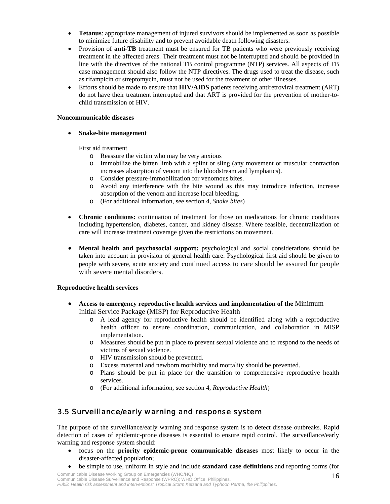- **Tetanus**: appropriate management of injured survivors should be implemented as soon as possible to minimize future disability and to prevent avoidable death following disasters.
- Provision of **anti-TB** treatment must be ensured for TB patients who were previously receiving treatment in the affected areas. Their treatment must not be interrupted and should be provided in line with the directives of the national TB control programme (NTP) services. All aspects of TB case management should also follow the NTP directives. The drugs used to treat the disease, such as rifampicin or streptomycin, must not be used for the treatment of other illnesses.
- Efforts should be made to ensure that **HIV/AIDS** patients receiving antiretroviral treatment (ART) do not have their treatment interrupted and that ART is provided for the prevention of mother-tochild transmission of HIV.

#### **Noncommunicable diseases**

• **Snake-bite management** 

First aid treatment

- o Reassure the victim who may be very anxious
- o Immobilize the bitten limb with a splint or sling (any movement or muscular contraction increases absorption of venom into the bloodstream and lymphatics).
- o Consider pressure-immobilization for venomous bites.
- o Avoid any interference with the bite wound as this may introduce infection, increase absorption of the venom and increase local bleeding.
- o (For additional information, see section 4, *Snake bites*)
- **Chronic conditions:** continuation of treatment for those on medications for chronic conditions including hypertension, diabetes, cancer, and kidney disease. Where feasible, decentralization of care will increase treatment coverage given the restrictions on movement.
- **Mental health and psychosocial support:** psychological and social considerations should be taken into account in provision of general health care. Psychological first aid should be given to people with severe, acute anxiety and continued access to care should be assured for people with severe mental disorders.

#### **Reproductive health services**

- **Access to emergency reproductive health services and implementation of the** Minimum Initial Service Package (MISP) for Reproductive Health
	- o A lead agency for reproductive health should be identified along with a reproductive health officer to ensure coordination, communication, and collaboration in MISP implementation.
	- o Measures should be put in place to prevent sexual violence and to respond to the needs of victims of sexual violence.
	- o HIV transmission should be prevented.
	- o Excess maternal and newborn morbidity and mortality should be prevented.
	- o Plans should be put in place for the transition to comprehensive reproductive health services.
	- o (For additional information, see section 4, *Reproductive Health*)

### 3.5 Surveillance/early warning and response system

The purpose of the surveillance/early warning and response system is to detect disease outbreaks. Rapid detection of cases of epidemic-prone diseases is essential to ensure rapid control. The surveillance/early warning and response system should:

- focus on the **priority epidemic-prone communicable diseases** most likely to occur in the disaster-affected population;
- be simple to use, uniform in style and include **standard case definitions** and reporting forms (for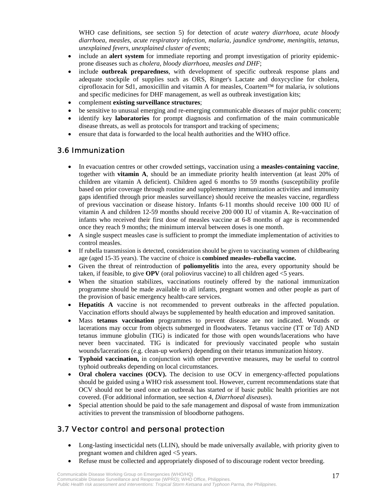WHO case definitions, see section 5) for detection of *acute watery diarrhoea, acute bloody diarrhoea, measles, acute respiratory infection, malaria, jaundice syndrome, meningitis, tetanus, unexplained fevers, unexplained cluster of events*;

- include an **alert system** for immediate reporting and prompt investigation of priority epidemicprone diseases such as *cholera, bloody diarrhoea, measles and DHF*;
- include **outbreak preparedness**, with development of specific outbreak response plans and adequate stockpile of supplies such as ORS, Ringer's Lactate and doxycycline for cholera, ciprofloxacin for Sd1, amoxicillin and vitamin A for measles, Coartem™ for malaria, iv solutions and specific medicines for DHF management, as well as outbreak investigation kits;
- complement **existing surveillance structures**;
- be sensitive to unusual emerging and re-emerging communicable diseases of major public concern;
- identify key **laboratories** for prompt diagnosis and confirmation of the main communicable disease threats, as well as protocols for transport and tracking of specimens;
- ensure that data is forwarded to the local health authorities and the WHO office.

### 3.6 Immunization

- In evacuation centres or other crowded settings, vaccination using a **measles-containing vaccine**, together with **vitamin A**, should be an immediate priority health intervention (at least 20% of children are vitamin A deficient). Children aged 6 months to 59 months (susceptibility profile based on prior coverage through routine and supplementary immunization activities and immunity gaps identified through prior measles surveillance) should receive the measles vaccine, regardless of previous vaccination or disease history. Infants 6-11 months should receive 100 000 IU of vitamin A and children 12-59 months should receive 200 000 IU of vitamin A. Re-vaccination of infants who received their first dose of measles vaccine at 6-8 months of age is recommended once they reach 9 months; the minimum interval between doses is one month.
- A single suspect measles case is sufficient to prompt the immediate implementation of activities to control measles.
- If rubella transmission is detected, consideration should be given to vaccinating women of childbearing age (aged 15-35 years). The vaccine of choice is **combined measles–rubella vaccine.**
- Given the threat of reintroduction of **poliomyelitis** into the area, every opportunity should be taken, if feasible, to give **OPV** (oral poliovirus vaccine) to all children aged <5 years.
- When the situation stabilizes, vaccinations routinely offered by the national immunization programme should be made available to all infants, pregnant women and other people as part of the provision of basic emergency health-care services.
- **Hepatitis A** vaccine is not recommended to prevent outbreaks in the affected population. Vaccination efforts should always be supplemented by health education and improved sanitation.
- Mass **tetanus vaccination** programmes to prevent disease are not indicated. Wounds or lacerations may occur from objects submerged in floodwaters. Tetanus vaccine (TT or Td) AND tetanus immune globulin (TIG) is indicated for those with open wounds/lacerations who have never been vaccinated. TIG is indicated for previously vaccinated people who sustain wounds/lacerations (e.g. clean-up workers) depending on their tetanus immunization history.
- **Typhoid vaccination,** in conjunction with other preventive measures, may be useful to control typhoid outbreaks depending on local circumstances.
- **Oral cholera vaccines (OCV).** The decision to use OCV in emergency-affected populations should be guided using a WHO risk assessment tool. However, current recommendations state that OCV should not be used once an outbreak has started or if basic public health priorities are not covered. (For additional information, see section 4, *Diarrhoeal diseases*).
- Special attention should be paid to the safe management and disposal of waste from immunization activities to prevent the transmission of bloodborne pathogens.

### 3.7 Vector control and personal protection

- Long-lasting insecticidal nets (LLIN), should be made universally available, with priority given to pregnant women and children aged <5 years.
- Refuse must be collected and appropriately disposed of to discourage rodent vector breeding.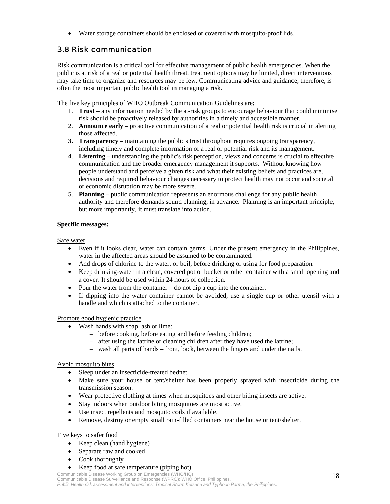• Water storage containers should be enclosed or covered with mosquito-proof lids.

# 3.8 Risk communication

Risk communication is a critical tool for effective management of public health emergencies. When the public is at risk of a real or potential health threat, treatment options may be limited, direct interventions may take time to organize and resources may be few. Communicating advice and guidance, therefore, is often the most important public health tool in managing a risk.

The five key principles of WHO Outbreak Communication Guidelines are:

- 1. **Trust**  any information needed by the at-risk groups to encourage behaviour that could minimise risk should be proactively released by authorities in a timely and accessible manner.
- 2. **Announce early**  proactive communication of a real or potential health risk is crucial in alerting those affected.
- **3. Transparency**  maintaining the public's trust throughout requires ongoing transparency, including timely and complete information of a real or potential risk and its management.
- 4. **Listening**  understanding the public's risk perception, views and concerns is crucial to effective communication and the broader emergency management it supports. Without knowing how people understand and perceive a given risk and what their existing beliefs and practices are, decisions and required behaviour changes necessary to protect health may not occur and societal or economic disruption may be more severe.
- 5. **Planning**  public communication represents an enormous challenge for any public health authority and therefore demands sound planning, in advance. Planning is an important principle, but more importantly, it must translate into action.

### **Specific messages:**

Safe water

- Even if it looks clear, water can contain germs. Under the present emergency in the Philippines, water in the affected areas should be assumed to be contaminated.
- Add drops of chlorine to the water, or boil, before drinking or using for food preparation.
- Keep drinking-water in a clean, covered pot or bucket or other container with a small opening and a cover. It should be used within 24 hours of collection.
- Pour the water from the container do not dip a cup into the container.
- If dipping into the water container cannot be avoided, use a single cup or other utensil with a handle and which is attached to the container.

#### Promote good hygienic practice

- Wash hands with soap, ash or lime:
	- − before cooking, before eating and before feeding children;
	- − after using the latrine or cleaning children after they have used the latrine;
	- − wash all parts of hands front, back, between the fingers and under the nails.

#### Avoid mosquito bites

- Sleep under an insecticide-treated bednet.
- Make sure your house or tent/shelter has been properly sprayed with insecticide during the transmission season.
- Wear protective clothing at times when mosquitoes and other biting insects are active.
- Stay indoors when outdoor biting mosquitoes are most active.
- Use insect repellents and mosquito coils if available.
- Remove, destroy or empty small rain-filled containers near the house or tent/shelter.

#### Five keys to safer food

- Keep clean (hand hygiene)
- Separate raw and cooked
- Cook thoroughly
- Keep food at safe temperature (piping hot)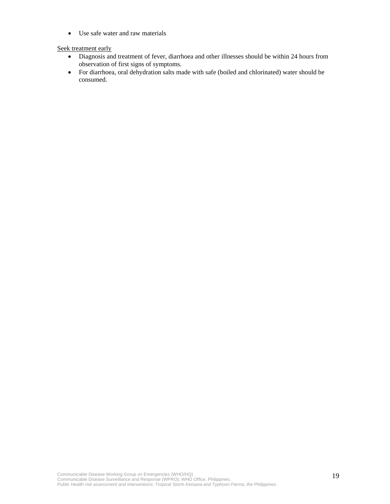• Use safe water and raw materials

#### Seek treatment early

- Diagnosis and treatment of fever, diarrhoea and other illnesses should be within 24 hours from observation of first signs of symptoms.
- For diarrhoea, oral dehydration salts made with safe (boiled and chlorinated) water should be consumed.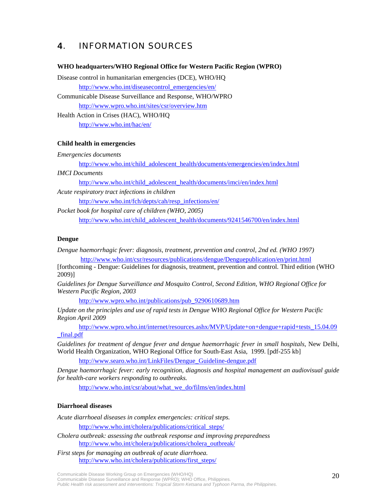# 4. INFORMATION SOURCES

#### **WHO headquarters/WHO Regional Office for Western Pacific Region (WPRO)**

Disease control in humanitarian emergencies (DCE), WHO/HQ

http://www.who.int/diseasecontrol\_emergencies/en/

Communicable Disease Surveillance and Response, WHO/WPRO http://www.wpro.who.int/sites/csr/overview.htm

Health Action in Crises (HAC), WHO/HQ http://www.who.int/hac/en/

#### **Child health in emergencies**

*Emergencies documents* 

http://www.who.int/child\_adolescent\_health/documents/emergencies/en/index.html

*IMCI Documents* 

http://www.who.int/child\_adolescent\_health/documents/imci/en/index.html

*Acute respiratory tract infections in children*  http://www.who.int/fch/depts/cah/resp\_infections/en/

*Pocket book for hospital care of children (WHO, 2005)* 

http://www.who.int/child\_adolescent\_health/documents/9241546700/en/index.html

#### **Dengue**

*Dengue haemorrhagic fever: diagnosis, treatment, prevention and control, 2nd ed. (WHO 1997)*  http://www.who.int/csr/resources/publications/dengue/Denguepublication/en/print.html

[forthcoming - Dengue: Guidelines for diagnosis, treatment, prevention and control. Third edition (WHO 2009)]

*Guidelines for Dengue Surveillance and Mosquito Control, Second Edition, WHO Regional Office for Western Pacific Region, 2003* 

http://www.wpro.who.int/publications/pub\_9290610689.htm

*Update on the principles and use of rapid tests in Dengue* WHO *Regional Office for Western Pacific Region April 2009* 

http://www.wpro.who.int/internet/resources.ashx/MVP/Update+on+dengue+rapid+tests\_15.04.09 \_final.pdf

*Guidelines for treatment of dengue fever and dengue haemorrhagic fever in small hospitals, New Delhi,* World Health Organization*,* WHO Regional Office for South-East Asia, 1999. [pdf-255 kb]

http://www.searo.who.int/LinkFiles/Dengue\_Guideline-dengue.pdf

*Dengue haemorrhagic fever: early recognition, diagnosis and hospital management an audiovisual guide for health-care workers responding to outbreaks.* 

http://www.who.int/csr/about/what\_we\_do/films/en/index.html

#### **Diarrhoeal diseases**

*Acute diarrhoeal diseases in complex emergencies: critical steps.*

http://www.who.int/cholera/publications/critical\_steps/

*Cholera outbreak: assessing the outbreak response and improving preparedness* http://www.who.int/cholera/publications/cholera\_outbreak/

*First steps for managing an outbreak of acute diarrhoea.* http://www.who.int/cholera/publications/first\_steps/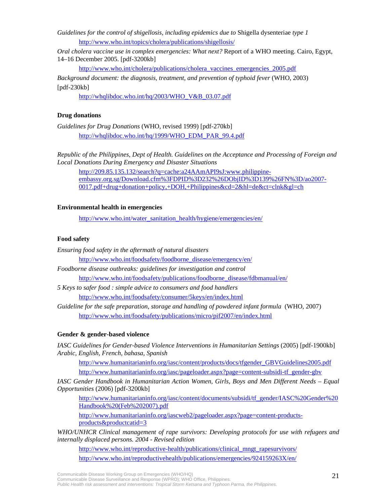*Guidelines for the control of shigellosis, including epidemics due to* Shigella dysenteriae *type 1*  http://www.who.int/topics/cholera/publications/shigellosis/

*Oral cholera vaccine use in complex emergencies: What next?* Report of a WHO meeting. Cairo, Egypt, 14–16 December 2005. [pdf-3200kb]

http://www.who.int/cholera/publications/cholera\_vaccines\_emergencies\_2005.pdf

*Background document: the diagnosis, treatment, and prevention of typhoid fever* (WHO, 2003)  $[pdf-230kb]$ 

http://whqlibdoc.who.int/hq/2003/WHO\_V&B\_03.07.pdf

#### **Drug donations**

*Guidelines for Drug Donations* (WHO, revised 1999) [pdf-270kb] http://whqlibdoc.who.int/hq/1999/WHO\_EDM\_PAR\_99.4.pdf

*Republic of the Philippines, Dept of Health. Guidelines on the Acceptance and Processing of Foreign and Local Donations During Emergency and Disaster Situations* 

http://209.85.135.132/search?q=cache:a24AAmAPI9sJ:www.philippineembassy.org.sg/Download.cfm%3FDPID%3D232%26DObjID%3D139%26FN%3D/ao2007- 0017.pdf+drug+donation+policy,+DOH,+Philippines&cd=2&hl=de&ct=clnk&gl=ch

#### **Environmental health in emergencies**

http://www.who.int/water\_sanitation\_health/hygiene/emergencies/en/

#### **Food safety**

- *Ensuring food safety in the aftermath of natural disasters*  http://www.who.int/foodsafety/foodborne\_disease/emergency/en/ *Foodborne disease outbreaks: guidelines for investigation and control*  http://www.who.int/foodsafety/publications/foodborne\_disease/fdbmanual/en/ *5 Keys to safer food : simple advice to consumers and food handlers*  http://www.who.int/foodsafety/consumer/5keys/en/index.html
- *Guideline for the safe preparation, storage and handling of powdered infant formula* (WHO, 2007) http://www.who.int/foodsafety/publications/micro/pif2007/en/index.html

#### **Gender & gender-based violence**

*IASC Guidelines for Gender-based Violence Interventions in Humanitarian Settings* (2005) [pdf-1900kb] *Arabic, English, French, bahasa, Spanish* 

http://www.humanitarianinfo.org/iasc/content/products/docs/tfgender\_GBVGuidelines2005.pdf http://www.humanitarianinfo.org/iasc/pageloader.aspx?page=content-subsidi-tf\_gender-gbv

*IASC Gender Handbook in Humanitarian Action Women, Girls, Boys and Men Different Needs – Equal Opportunities* (2006) [pdf-3200kb]

http://www.humanitarianinfo.org/iasc/content/documents/subsidi/tf\_gender/IASC%20Gender%20 Handbook%20(Feb%202007).pdf

http://www.humanitarianinfo.org/iascweb2/pageloader.aspx?page=content-productsproducts&productcatid=3

*WHO/UNHCR Clinical management of rape survivors: Developing protocols for use with refugees and internally displaced persons. 2004 - Revised edition* 

http://www.who.int/reproductive-health/publications/clinical\_mngt\_rapesurvivors/ http://www.who.int/reproductivehealth/publications/emergencies/924159263X/en/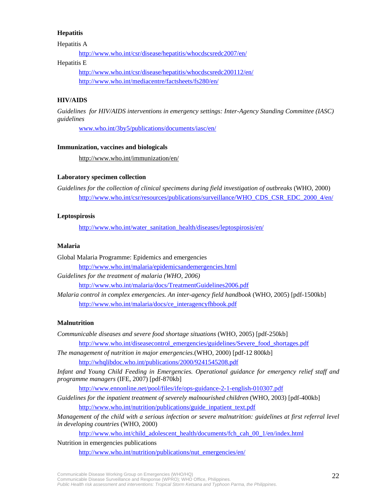#### **Hepatitis**

Hepatitis A

http://www.who.int/csr/disease/hepatitis/whocdscsredc2007/en/

#### Hepatitis E

http://www.who.int/csr/disease/hepatitis/whocdscsredc200112/en/ http://www.who.int/mediacentre/factsheets/fs280/en/

#### **HIV/AIDS**

*Guidelines for HIV/AIDS interventions in emergency settings: Inter-Agency Standing Committee (IASC) guidelines* 

www.who.int/3by5/publications/documents/iasc/en/

#### **Immunization, vaccines and biologicals**

http://www.who.int/immunization/en/

#### **Laboratory specimen collection**

*Guidelines for the collection of clinical specimens during field investigation of outbreaks* (WHO, 2000) http://www.who.int/csr/resources/publications/surveillance/WHO\_CDS\_CSR\_EDC\_2000\_4/en/

#### **Leptospirosis**

http://www.who.int/water\_sanitation\_health/diseases/leptospirosis/en/

#### **Malaria**

Global Malaria Programme: Epidemics and emergencies http://www.who.int/malaria/epidemicsandemergencies.html *Guidelines for the treatment of malaria (WHO, 2006)*  http://www.who.int/malaria/docs/TreatmentGuidelines2006.pdf

*Malaria control in complex emergencies. An inter-agency field handbook* (WHO, 2005) [pdf-1500kb] http://www.who.int/malaria/docs/ce\_interagencyfhbook.pdf

#### **Malnutrition**

*Communicable diseases and severe food shortage situations* (WHO, 2005) [pdf-250kb] http://www.who.int/diseasecontrol\_emergencies/guidelines/Severe\_food\_shortages.pdf *The management of nutrition in major emergencies.*(WHO, 2000) [pdf-12 800kb]

http://whqlibdoc.who.int/publications/2000/9241545208.pdf

*Infant and Young Child Feeding in Emergencies. Operational guidance for emergency relief staff and programme managers* (IFE, 2007) [pdf-870kb]

http://www.ennonline.net/pool/files/ife/ops-guidance-2-1-english-010307.pdf

*Guidelines for the inpatient treatment of severely malnourished children* (WHO, 2003) [pdf-400kb] http://www.who.int/nutrition/publications/guide\_inpatient\_text.pdf

*Management of the child with a serious infection or severe malnutrition: guidelines at first referral level in developing countries* (WHO, 2000)

http://www.who.int/child\_adolescent\_health/documents/fch\_cah\_00\_1/en/index.html

#### Nutrition in emergencies publications

http://www.who.int/nutrition/publications/nut\_emergencies/en/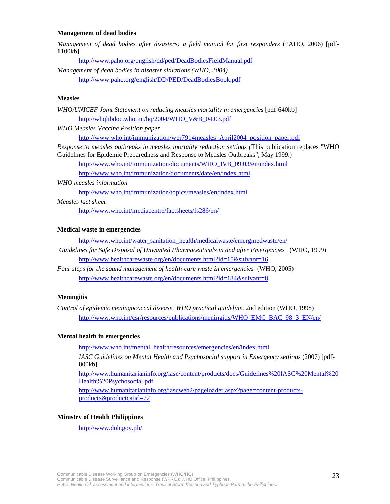#### **Management of dead bodies**

*Management of dead bodies after disasters: a field manual for first responders* (PAHO, 2006) [pdf-1100kb]

http://www.paho.org/english/dd/ped/DeadBodiesFieldManual.pdf *Management of dead bodies in disaster situations (WHO, 2004)* 

http://www.paho.org/english/DD/PED/DeadBodiesBook.pdf

#### **Measles**

*WHO/UNICEF Joint Statement on reducing measles mortality in emergencies* [pdf-640kb] http://whqlibdoc.who.int/hq/2004/WHO\_V&B\_04.03.pdf

*WHO Measles Vaccine Position paper* 

http://www.who.int/immunization/wer7914measles\_April2004\_position\_paper.pdf

*Response to measles outbreaks in measles mortality reduction settings (*This publication replaces "WHO Guidelines for Epidemic Preparedness and Response to Measles Outbreaks", May 1999.)

http://www.who.int/immunization/documents/WHO\_IVB\_09.03/en/index.html

http://www.who.int/immunization/documents/date/en/index.html

#### *WHO measles information*

http://www.who.int/immunization/topics/measles/en/index.html

#### *Measles fact sheet*

http://www.who.int/mediacentre/factsheets/fs286/en/

#### **Medical waste in emergencies**

http://www.who.int/water\_sanitation\_health/medicalwaste/emergmedwaste/en/

- *Guidelines for Safe Disposal of Unwanted Pharmaceuticals in and after Emergencies* (WHO, 1999) http://www.healthcarewaste.org/en/documents.html?id=15&suivant=16
- *Four steps for the sound management of health-care waste in emergencies* (WHO, 2005) http://www.healthcarewaste.org/en/documents.html?id=184&suivant=8

#### **Meningitis**

*Control of epidemic meningococcal disease. WHO practical guideline,* 2nd edition (WHO, 1998) http://www.who.int/csr/resources/publications/meningitis/WHO\_EMC\_BAC\_98\_3\_EN/en/

#### **Mental health in emergencies**

http://www.who.int/mental\_health/resources/emergencies/en/index.html

*IASC Guidelines on Mental Health and Psychosocial support in Emergency settings* (2007) [pdf-800kb]

http://www.humanitarianinfo.org/iasc/content/products/docs/Guidelines%20IASC%20Mental%20 Health%20Psychosocial.pdf

http://www.humanitarianinfo.org/iascweb2/pageloader.aspx?page=content-productsproducts&productcatid=22

#### **Ministry of Health Philippines**

http://www.doh.gov.ph/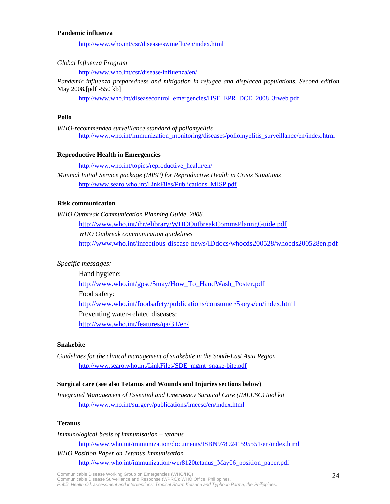#### **Pandemic influenza**

http://www.who.int/csr/disease/swineflu/en/index.html

*Global Influenza Program* 

http://www.who.int/csr/disease/influenza/en/

*Pandemic influenza preparedness and mitigation in refugee and displaced populations. Second edition*  May 2008*.*[pdf -550 kb]

http://www.who.int/diseasecontrol\_emergencies/HSE\_EPR\_DCE\_2008\_3rweb.pdf

#### **Polio**

*WHO-recommended surveillance standard of poliomyelitis* http://www.who.int/immunization\_monitoring/diseases/poliomyelitis\_surveillance/en/index.html

#### **Reproductive Health in Emergencies**

http://www.who.int/topics/reproductive\_health/en/

*Minimal Initial Service package (MISP) for Reproductive Health in Crisis Situations*  http://www.searo.who.int/LinkFiles/Publications\_MISP.pdf

#### **Risk communication**

*WHO Outbreak Communication Planning Guide, 2008.* 

http://www.who.int/ihr/elibrary/WHOOutbreakCommsPlanngGuide.pdf *WHO Outbreak communication guidelines*  http://www.who.int/infectious-disease-news/IDdocs/whocds200528/whocds200528en.pdf

#### *Specific messages:*

Hand hygiene: http://www.who.int/gpsc/5may/How\_To\_HandWash\_Poster.pdf Food safety: http://www.who.int/foodsafety/publications/consumer/5keys/en/index.html Preventing water-related diseases: http://www.who.int/features/qa/31/en/

#### **Snakebite**

*Guidelines for the clinical management of snakebite in the South-East Asia Region*  http://www.searo.who.int/LinkFiles/SDE\_mgmt\_snake-bite.pdf

#### **Surgical care (see also Tetanus and Wounds and Injuries sections below)**

*Integrated Management of Essential and Emergency Surgical Care (IMEESC) tool kit*  http://www.who.int/surgery/publications/imeesc/en/index.html

#### **Tetanus**

*Immunological basis of immunisation – tetanus* 

http://www.who.int/immunization/documents/ISBN9789241595551/en/index.html

*WHO Position Paper on Tetanus Immunisation*  http://www.who.int/immunization/wer8120tetanus\_May06\_position\_paper.pdf

Communicable Disease Working Group on Emergencies (WHO/HQ) Communicable Disease Surveillance and Response (WPRO); WHO Office, Philippines. *Public Health risk assessment and interventions: Tropical Storm Ketsana and Typhoon Parma, the Philippines*.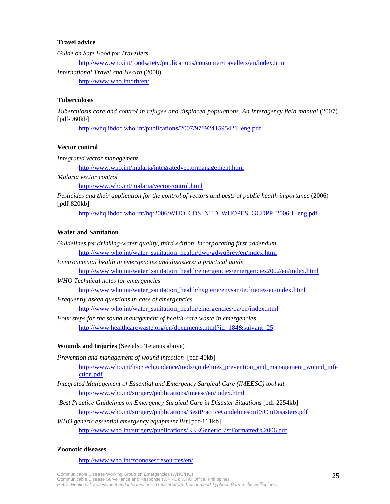#### **Travel advice**

*Guide on Safe Food for Travellers*  http://www.who.int/foodsafety/publications/consumer/travellers/en/index.html *International Travel and Health* (2008) http://www.who.int/ith/en/

#### **Tuberculosis**

*Tuberculosis care and control in refugee and displaced populations*. *An interagency field manual* (2007). [pdf-960kb]

http://whqlibdoc.who.int/publications/2007/9789241595421\_eng.pdf.

#### **Vector control**

*Integrated vector management* 

http://www.who.int/malaria/integratedvectormanagement.html

*Malaria vector control* 

http://www.who.int/malaria/vectorcontrol.html

*Pesticides and their application for the control of vectors and pests of public health importance* (2006) [pdf-820kb]

http://whqlibdoc.who.int/hq/2006/WHO\_CDS\_NTD\_WHOPES\_GCDPP\_2006.1\_eng.pdf

#### **Water and Sanitation**

- *Guidelines for drinking-water quality, third edition, incorporating first addendum*  http://www.who.int/water\_sanitation\_health/dwq/gdwq3rev/en/index.html
- *Environmental health in emergencies and disasters: a practical guide*

http://www.who.int/water\_sanitation\_health/emergencies/emergencies2002/en/index.html

*WHO Technical notes for emergencies* 

http://www.who.int/water\_sanitation\_health/hygiene/envsan/technotes/en/index.html

*Frequently asked questions in case of emergencies* 

http://www.who.int/water\_sanitation\_health/emergencies/qa/en/index.html

*Four steps for the sound management of health-care waste in emergencies*  http://www.healthcarewaste.org/en/documents.html?id=184&suivant=25

#### **Wounds and Injuries** (See also Tetanus above)

*Prevention and management of wound infection* [pdf-40kb] http://www.who.int/hac/techguidance/tools/guidelines\_prevention\_and\_management\_wound\_infe ction.pdf

- *Integrated Management of Essential and Emergency Surgical Care (IMEESC) tool kit*  http://www.who.int/surgery/publications/imeesc/en/index.html
- *Best Practice Guidelines on Emergency Surgical Care in Disaster Situations* [pdf-2254kb] http://www.who.int/surgery/publications/BestPracticeGuidelinesonESCinDisasters.pdf
- *WHO generic essential emergency equipment list* [pdf-111kb] http://www.who.int/surgery/publications/EEEGenericListFormatted%2006.pdf

#### **Zoonotic diseases**

http://www.who.int/zoonoses/resources/en/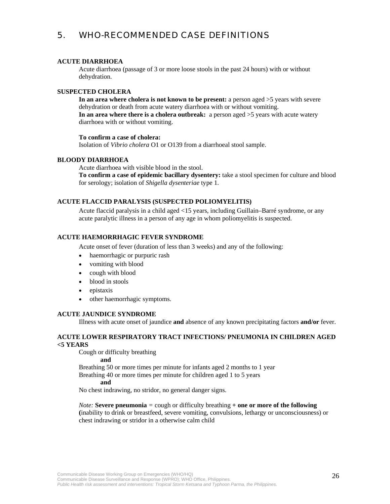## 5. WHO-RECOMMENDED CASE DEFINITIONS

#### **ACUTE DIARRHOEA**

Acute diarrhoea (passage of 3 or more loose stools in the past 24 hours) with or without dehydration.

#### **SUSPECTED CHOLERA**

**In an area where cholera is not known to be present:** a person aged >5 years with severe dehydration or death from acute watery diarrhoea with or without vomiting. **In an area where there is a cholera outbreak:** a person aged >5 years with acute watery diarrhoea with or without vomiting.

#### **To confirm a case of cholera:**

Isolation of *Vibrio cholera* O1 or O139 from a diarrhoeal stool sample.

#### **BLOODY DIARRHOEA**

Acute diarrhoea with visible blood in the stool. **To confirm a case of epidemic bacillary dysentery:** take a stool specimen for culture and blood for serology; isolation of *Shigella dysenteriae* type 1.

#### **ACUTE FLACCID PARALYSIS (SUSPECTED POLIOMYELITIS)**

Acute flaccid paralysis in a child aged <15 years, including Guillain–Barré syndrome, or any acute paralytic illness in a person of any age in whom poliomyelitis is suspected.

#### **ACUTE HAEMORRHAGIC FEVER SYNDROME**

Acute onset of fever (duration of less than 3 weeks) and any of the following:

- haemorrhagic or purpuric rash
- vomiting with blood
- cough with blood
- blood in stools
- epistaxis
- other haemorrhagic symptoms.

#### **ACUTE JAUNDICE SYNDROME**

Illness with acute onset of jaundice **and** absence of any known precipitating factors **and/or** fever.

#### **ACUTE LOWER RESPIRATORY TRACT INFECTIONS/ PNEUMONIA IN CHILDREN AGED <5 YEARS**

Cough or difficulty breathing

**and** 

Breathing 50 or more times per minute for infants aged 2 months to 1 year

Breathing 40 or more times per minute for children aged 1 to 5 years

#### **and**

No chest indrawing, no stridor, no general danger signs.

*Note:* **Severe pneumonia** *=* cough or difficulty breathing **+ one or more of the following (**inability to drink or breastfeed, severe vomiting, convulsions, lethargy or unconsciousness) or chest indrawing or stridor in a otherwise calm child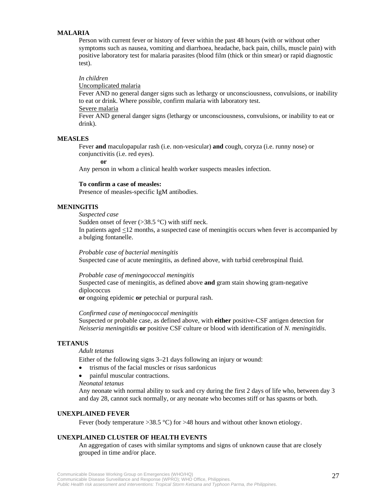#### **MALARIA**

Person with current fever or history of fever within the past 48 hours (with or without other symptoms such as nausea, vomiting and diarrhoea, headache, back pain, chills, muscle pain) with positive laboratory test for malaria parasites (blood film (thick or thin smear) or rapid diagnostic test).

#### *In children*

Uncomplicated malaria

Fever AND no general danger signs such as lethargy or unconsciousness, convulsions, or inability to eat or drink. Where possible, confirm malaria with laboratory test.

Severe malaria

Fever AND general danger signs (lethargy or unconsciousness, convulsions, or inability to eat or drink).

#### **MEASLES**

Fever **and** maculopapular rash (i.e. non-vesicular) **and** cough, coryza (i.e. runny nose) or conjunctivitis (i.e. red eyes).

**or** 

Any person in whom a clinical health worker suspects measles infection.

#### **To confirm a case of measles:**

Presence of measles-specific IgM antibodies.

#### **MENINGITIS**

*Suspected case* 

Sudden onset of fever  $(>38.5 \degree C)$  with stiff neck.

In patients aged <12 months, a suspected case of meningitis occurs when fever is accompanied by a bulging fontanelle.

*Probable case of bacterial meningitis*  Suspected case of acute meningitis, as defined above, with turbid cerebrospinal fluid.

#### *Probable case of meningococcal meningitis*

Suspected case of meningitis, as defined above **and** gram stain showing gram-negative diplococcus

**or** ongoing epidemic **or** petechial or purpural rash.

#### *Confirmed case of meningococcal meningitis*

Suspected or probable case, as defined above, with **either** positive-CSF antigen detection for *Neisseria meningitidis* **or** positive CSF culture or blood with identification of *N. meningitidis*.

#### **TETANUS**

#### *Adult tetanus*

Either of the following signs 3–21 days following an injury or wound:

- trismus of the facial muscles or risus sardonicus
- painful muscular contractions.
- *Neonatal tetanus*

Any neonate with normal ability to suck and cry during the first 2 days of life who, between day 3 and day 28, cannot suck normally, or any neonate who becomes stiff or has spasms or both.

#### **UNEXPLAINED FEVER**

Fever (body temperature  $>38.5$  °C) for  $>48$  hours and without other known etiology.

#### **UNEXPLAINED CLUSTER OF HEALTH EVENTS**

An aggregation of cases with similar symptoms and signs of unknown cause that are closely grouped in time and/or place.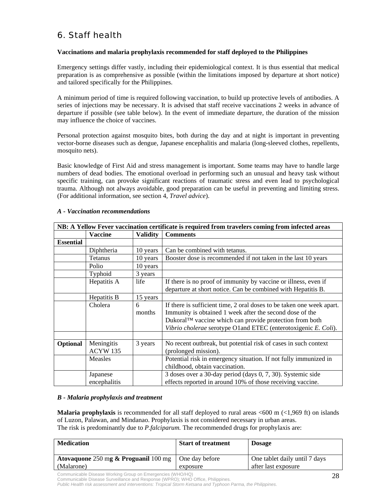# 6. Staff health

#### **Vaccinations and malaria prophylaxis recommended for staff deployed to the Philippines**

Emergency settings differ vastly, including their epidemiological context. It is thus essential that medical preparation is as comprehensive as possible (within the limitations imposed by departure at short notice) and tailored specifically for the Philippines.

A minimum period of time is required following vaccination, to build up protective levels of antibodies. A series of injections may be necessary. It is advised that staff receive vaccinations 2 weeks in advance of departure if possible (see table below). In the event of immediate departure, the duration of the mission may influence the choice of vaccines.

Personal protection against mosquito bites, both during the day and at night is important in preventing vector-borne diseases such as dengue, Japanese encephalitis and malaria (long-sleeved clothes, repellents, mosquito nets).

Basic knowledge of First Aid and stress management is important. Some teams may have to handle large numbers of dead bodies. The emotional overload in performing such an unusual and heavy task without specific training, can provoke significant reactions of traumatic stress and even lead to psychological trauma. Although not always avoidable, good preparation can be useful in preventing and limiting stress. (For additional information, see section 4, *Travel advice*).

| NB: A Yellow Fever vaccination certificate is required from travelers coming from infected areas |                               |                             |                                                                                                                                                                                                                                                                 |  |
|--------------------------------------------------------------------------------------------------|-------------------------------|-----------------------------|-----------------------------------------------------------------------------------------------------------------------------------------------------------------------------------------------------------------------------------------------------------------|--|
|                                                                                                  | <b>Vaccine</b>                | <b>Comments</b><br>Validity |                                                                                                                                                                                                                                                                 |  |
| <b>Essential</b>                                                                                 |                               |                             |                                                                                                                                                                                                                                                                 |  |
|                                                                                                  | Diphtheria                    | 10 years                    | Can be combined with tetanus.                                                                                                                                                                                                                                   |  |
|                                                                                                  | Tetanus                       | 10 years                    | Booster dose is recommended if not taken in the last 10 years                                                                                                                                                                                                   |  |
|                                                                                                  | Polio                         | 10 years                    |                                                                                                                                                                                                                                                                 |  |
|                                                                                                  | Typhoid                       | 3 years                     |                                                                                                                                                                                                                                                                 |  |
|                                                                                                  | Hepatitis A                   | life                        | If there is no proof of immunity by vaccine or illness, even if<br>departure at short notice. Can be combined with Hepatitis B.                                                                                                                                 |  |
|                                                                                                  | Hepatitis B                   | 15 years                    |                                                                                                                                                                                                                                                                 |  |
|                                                                                                  | Cholera                       | 6<br>months                 | If there is sufficient time, 2 oral doses to be taken one week apart.<br>Immunity is obtained 1 week after the second dose of the<br>Dukoral™ vaccine which can provide protection from both<br>Vibrio cholerae serotype O1 and ETEC (enterotoxigenic E. Coli). |  |
|                                                                                                  |                               |                             |                                                                                                                                                                                                                                                                 |  |
| Optional                                                                                         | Meningitis<br><b>ACYW 135</b> | 3 years                     | No recent outbreak, but potential risk of cases in such context<br>(prolonged mission).                                                                                                                                                                         |  |
|                                                                                                  | Measles                       |                             | Potential risk in emergency situation. If not fully immunized in<br>childhood, obtain vaccination.                                                                                                                                                              |  |
|                                                                                                  | Japanese<br>encephalitis      |                             | 3 doses over a 30-day period (days 0, 7, 30). Systemic side<br>effects reported in around 10% of those receiving vaccine.                                                                                                                                       |  |

#### *A - Vaccination recommendations*

#### *B - Malaria prophylaxis and treatment*

**Malaria prophylaxis** is recommended for all staff deployed to rural areas <600 m (<1,969 ft) on islands of Luzon, Palawan, and Mindanao. Prophylaxis is not considered necessary in urban areas. The risk is predominantly due to *P.falciparum.* The recommended drugs for prophylaxis are:

| <b>Medication</b>                                                            | <b>Start of treatment</b> | <b>Dosage</b>                 |
|------------------------------------------------------------------------------|---------------------------|-------------------------------|
| <b>Atovaquone</b> 250 mg $\&$ <b>Proguanil</b> 100 mg $\vert$ One day before |                           | One tablet daily until 7 days |
| (Malarone)                                                                   | exposure                  | after last exposure           |

Communicable Disease Working Group on Emergencies (WHO/HQ)

*Public Health risk assessment and interventions: Tropical Storm Ketsana and Typhoon Parma, the Philippines*.

Communicable Disease Surveillance and Response (WPRO); WHO Office, Philippines.